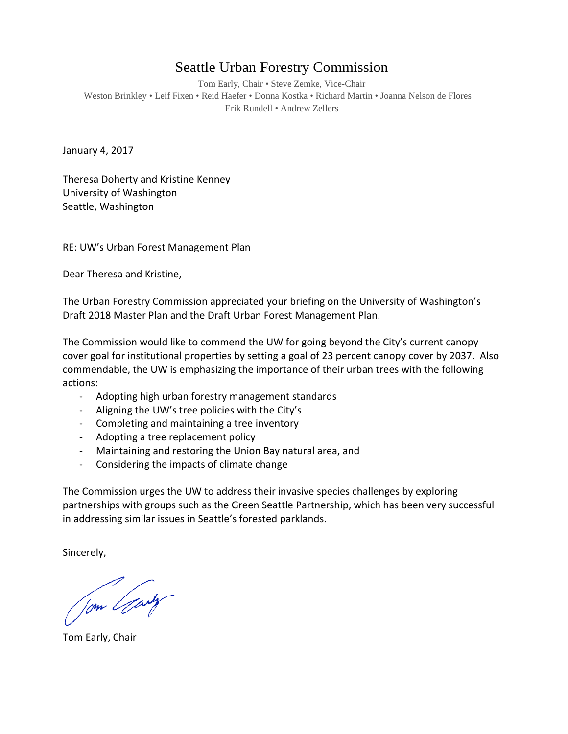## Seattle Urban Forestry Commission

Tom Early, Chair • Steve Zemke, Vice-Chair Weston Brinkley • Leif Fixen • Reid Haefer • Donna Kostka • Richard Martin • Joanna Nelson de Flores Erik Rundell • Andrew Zellers

January 4, 2017

Theresa Doherty and Kristine Kenney University of Washington Seattle, Washington

RE: UW's Urban Forest Management Plan

Dear Theresa and Kristine,

The Urban Forestry Commission appreciated your briefing on the University of Washington's Draft 2018 Master Plan and the Draft Urban Forest Management Plan.

The Commission would like to commend the UW for going beyond the City's current canopy cover goal for institutional properties by setting a goal of 23 percent canopy cover by 2037. Also commendable, the UW is emphasizing the importance of their urban trees with the following actions:

- Adopting high urban forestry management standards
- Aligning the UW's tree policies with the City's
- Completing and maintaining a tree inventory
- Adopting a tree replacement policy
- Maintaining and restoring the Union Bay natural area, and
- Considering the impacts of climate change

The Commission urges the UW to address their invasive species challenges by exploring partnerships with groups such as the Green Seattle Partnership, which has been very successful in addressing similar issues in Seattle's forested parklands.

Sincerely,

Jom Gary

Tom Early, Chair